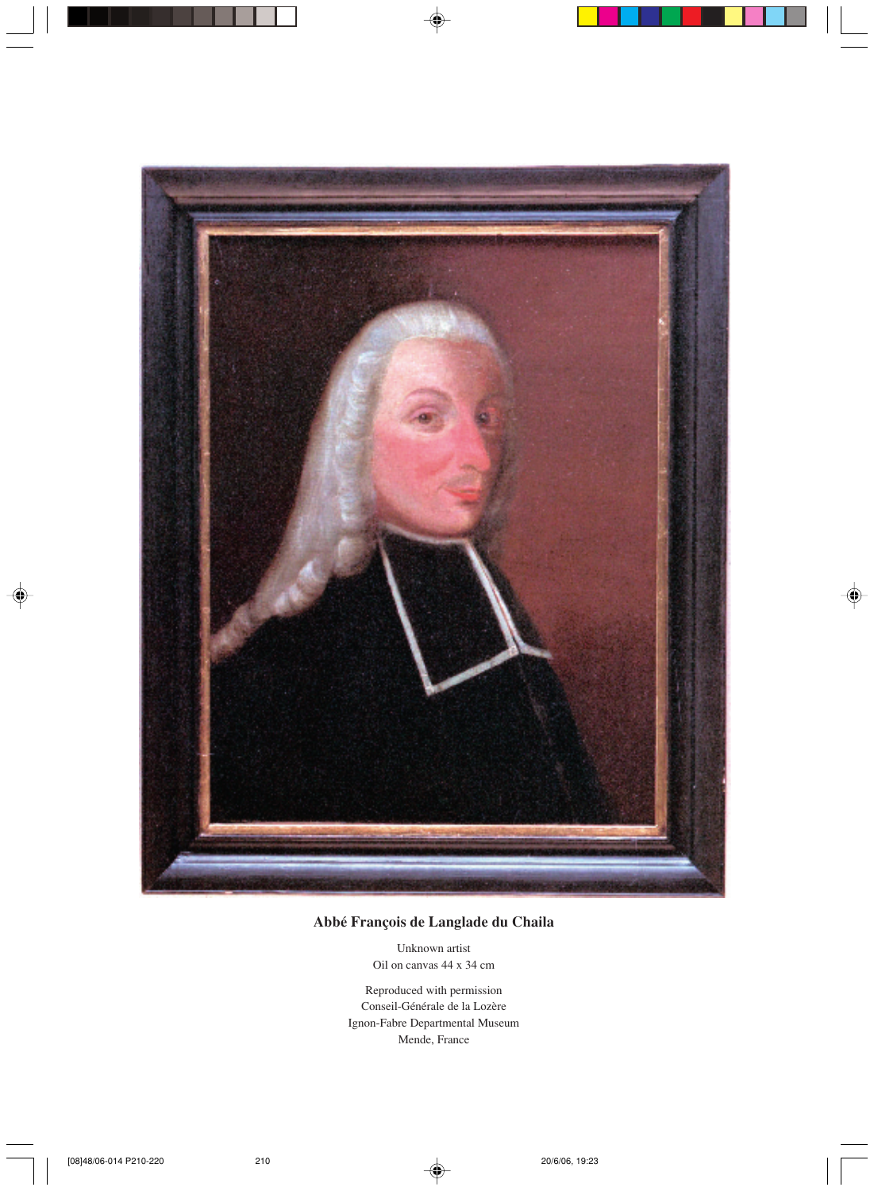

 $\color{red}\blacklozenge$ 

### **Abbé François de Langlade du Chaila**

Unknown artist Oil on canvas 44 x 34 cm

Reproduced with permission Conseil-Générale de la Lozère Ignon-Fabre Departmental Museum Mende, France

 $\bigoplus$ 

 $\color{red} \blacklozenge$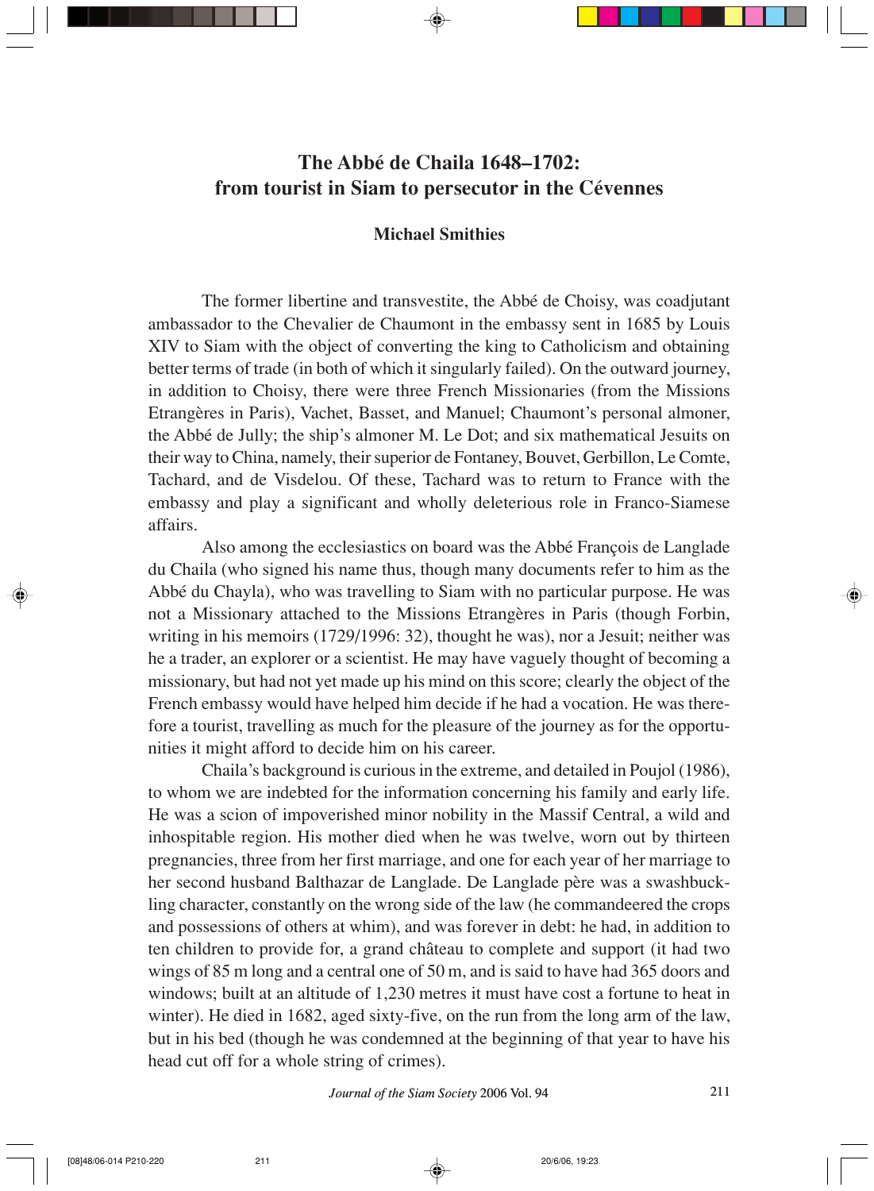# **The Abbé de Chaila 1648–1702: from tourist in Siam to persecutor in the Cévennes**

### **Michael Smithies**

The former libertine and transvestite, the Abbé de Choisy, was coadjutant ambassador to the Chevalier de Chaumont in the embassy sent in 1685 by Louis XIV to Siam with the object of converting the king to Catholicism and obtaining better terms of trade (in both of which it singularly failed). On the outward journey, in addition to Choisy, there were three French Missionaries (from the Missions Etrangères in Paris), Vachet, Basset, and Manuel; Chaumont's personal almoner, the Abbé de Jully; the ship's almoner M. Le Dot; and six mathematical Jesuits on their way to China, namely, their superior de Fontaney, Bouvet, Gerbillon, Le Comte, Tachard, and de Visdelou. Of these, Tachard was to return to France with the embassy and play a significant and wholly deleterious role in Franco-Siamese affairs.

Also among the ecclesiastics on board was the Abbé François de Langlade du Chaila (who signed his name thus, though many documents refer to him as the Abbé du Chayla), who was travelling to Siam with no particular purpose. He was not a Missionary attached to the Missions Etrangères in Paris (though Forbin, writing in his memoirs (1729/1996: 32), thought he was), nor a Jesuit; neither was he a trader, an explorer or a scientist. He may have vaguely thought of becoming a missionary, but had not yet made up his mind on this score; clearly the object of the French embassy would have helped him decide if he had a vocation. He was therefore a tourist, travelling as much for the pleasure of the journey as for the opportunities it might afford to decide him on his career.

Chaila's background is curious in the extreme, and detailed in Poujol (1986), to whom we are indebted for the information concerning his family and early life. He was a scion of impoverished minor nobility in the Massif Central, a wild and inhospitable region. His mother died when he was twelve, worn out by thirteen pregnancies, three from her first marriage, and one for each year of her marriage to her second husband Balthazar de Langlade. De Langlade père was a swashbuckling character, constantly on the wrong side of the law (he commandeered the crops and possessions of others at whim), and was forever in debt: he had, in addition to ten children to provide for, a grand château to complete and support (it had two wings of 85 m long and a central one of 50 m, and is said to have had 365 doors and windows; built at an altitude of 1,230 metres it must have cost a fortune to heat in winter). He died in 1682, aged sixty-five, on the run from the long arm of the law, but in his bed (though he was condemned at the beginning of that year to have his head cut off for a whole string of crimes).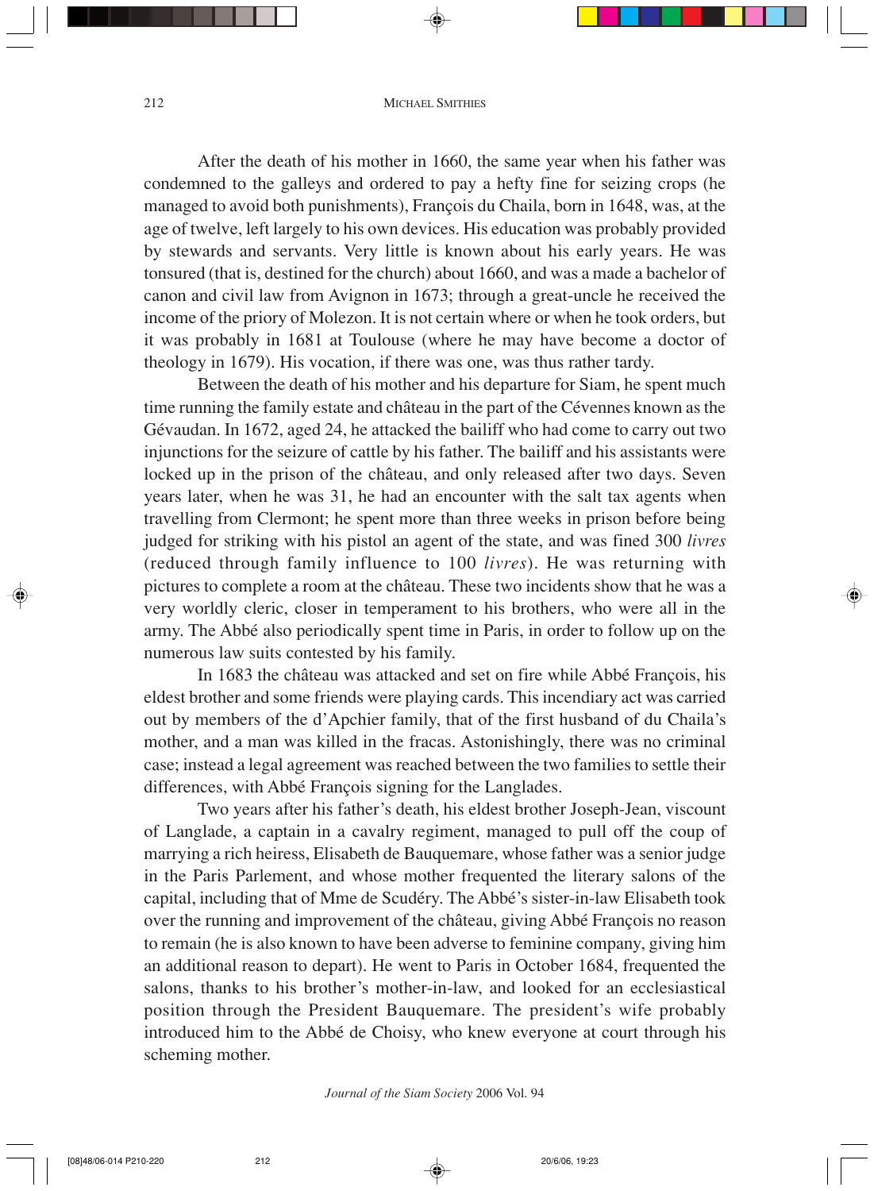#### 212 MICHAEL SMITHIES

After the death of his mother in 1660, the same year when his father was condemned to the galleys and ordered to pay a hefty fine for seizing crops (he managed to avoid both punishments), François du Chaila, born in 1648, was, at the age of twelve, left largely to his own devices. His education was probably provided by stewards and servants. Very little is known about his early years. He was tonsured (that is, destined for the church) about 1660, and was a made a bachelor of canon and civil law from Avignon in 1673; through a great-uncle he received the income of the priory of Molezon. It is not certain where or when he took orders, but it was probably in 1681 at Toulouse (where he may have become a doctor of theology in 1679). His vocation, if there was one, was thus rather tardy.

Between the death of his mother and his departure for Siam, he spent much time running the family estate and château in the part of the Cévennes known as the Gévaudan. In 1672, aged 24, he attacked the bailiff who had come to carry out two injunctions for the seizure of cattle by his father. The bailiff and his assistants were locked up in the prison of the château, and only released after two days. Seven years later, when he was 31, he had an encounter with the salt tax agents when travelling from Clermont; he spent more than three weeks in prison before being judged for striking with his pistol an agent of the state, and was fined 300 *livres* (reduced through family influence to 100 *livres*). He was returning with pictures to complete a room at the château. These two incidents show that he was a very worldly cleric, closer in temperament to his brothers, who were all in the army. The Abbé also periodically spent time in Paris, in order to follow up on the numerous law suits contested by his family.

In 1683 the château was attacked and set on fire while Abbé François, his eldest brother and some friends were playing cards. This incendiary act was carried out by members of the d'Apchier family, that of the first husband of du Chaila's mother, and a man was killed in the fracas. Astonishingly, there was no criminal case; instead a legal agreement was reached between the two families to settle their differences, with Abbé François signing for the Langlades.

Two years after his father's death, his eldest brother Joseph-Jean, viscount of Langlade, a captain in a cavalry regiment, managed to pull off the coup of marrying a rich heiress, Elisabeth de Bauquemare, whose father was a senior judge in the Paris Parlement, and whose mother frequented the literary salons of the capital, including that of Mme de Scudéry. The Abbé's sister-in-law Elisabeth took over the running and improvement of the château, giving Abbé François no reason to remain (he is also known to have been adverse to feminine company, giving him an additional reason to depart). He went to Paris in October 1684, frequented the salons, thanks to his brother's mother-in-law, and looked for an ecclesiastical position through the President Bauquemare. The president's wife probably introduced him to the Abbé de Choisy, who knew everyone at court through his scheming mother.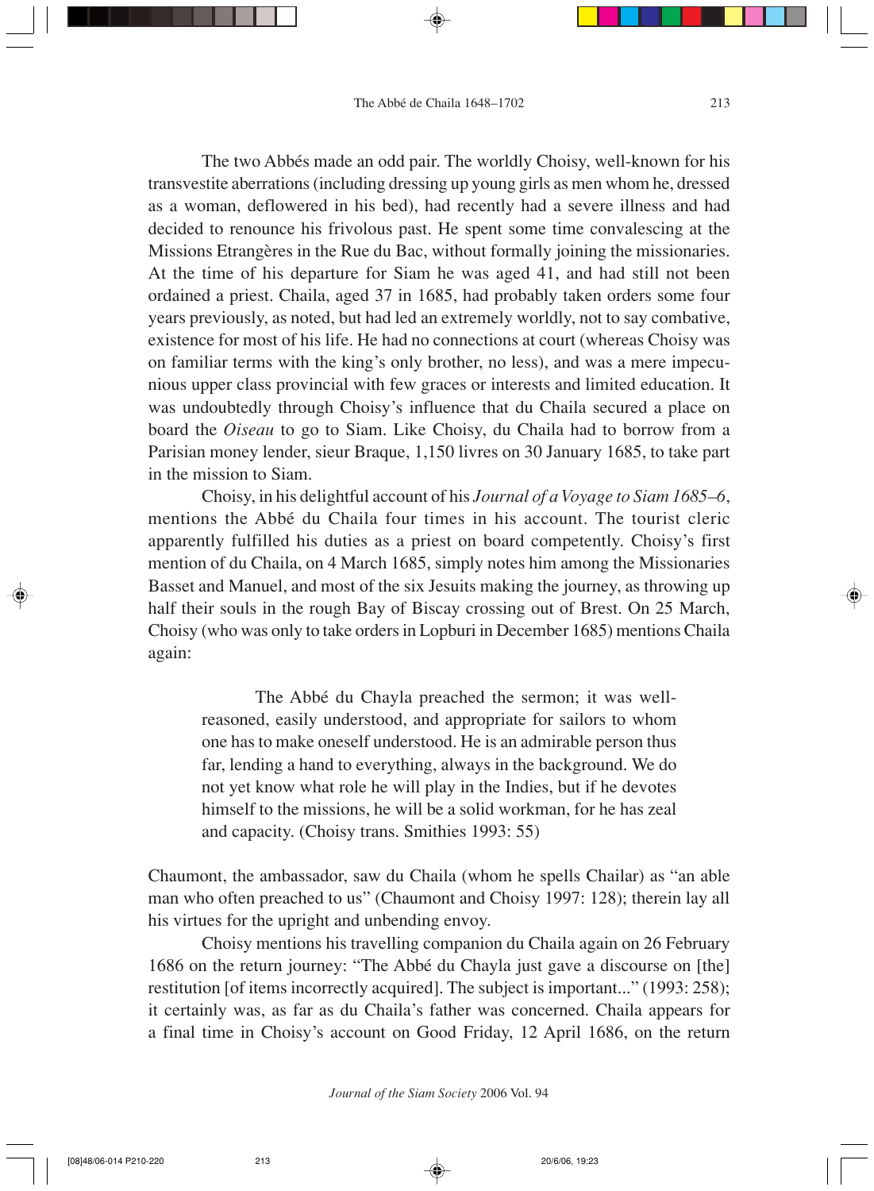The two Abbés made an odd pair. The worldly Choisy, well-known for his transvestite aberrations (including dressing up young girls as men whom he, dressed as a woman, deflowered in his bed), had recently had a severe illness and had decided to renounce his frivolous past. He spent some time convalescing at the Missions Etrangères in the Rue du Bac, without formally joining the missionaries. At the time of his departure for Siam he was aged 41, and had still not been ordained a priest. Chaila, aged 37 in 1685, had probably taken orders some four years previously, as noted, but had led an extremely worldly, not to say combative, existence for most of his life. He had no connections at court (whereas Choisy was on familiar terms with the king's only brother, no less), and was a mere impecunious upper class provincial with few graces or interests and limited education. It was undoubtedly through Choisy's influence that du Chaila secured a place on board the *Oiseau* to go to Siam. Like Choisy, du Chaila had to borrow from a Parisian money lender, sieur Braque, 1,150 livres on 30 January 1685, to take part in the mission to Siam.

Choisy, in his delightful account of his *Journal of a Voyage to Siam 1685–6*, mentions the Abbé du Chaila four times in his account. The tourist cleric apparently fulfilled his duties as a priest on board competently. Choisy's first mention of du Chaila, on 4 March 1685, simply notes him among the Missionaries Basset and Manuel, and most of the six Jesuits making the journey, as throwing up half their souls in the rough Bay of Biscay crossing out of Brest. On 25 March, Choisy (who was only to take orders in Lopburi in December 1685) mentions Chaila again:

The Abbé du Chayla preached the sermon; it was wellreasoned, easily understood, and appropriate for sailors to whom one has to make oneself understood. He is an admirable person thus far, lending a hand to everything, always in the background. We do not yet know what role he will play in the Indies, but if he devotes himself to the missions, he will be a solid workman, for he has zeal and capacity. (Choisy trans. Smithies 1993: 55)

Chaumont, the ambassador, saw du Chaila (whom he spells Chailar) as "an able man who often preached to us" (Chaumont and Choisy 1997: 128); therein lay all his virtues for the upright and unbending envoy.

Choisy mentions his travelling companion du Chaila again on 26 February 1686 on the return journey: "The Abbé du Chayla just gave a discourse on [the] restitution [of items incorrectly acquired]. The subject is important..." (1993: 258); it certainly was, as far as du Chaila's father was concerned. Chaila appears for a final time in Choisy's account on Good Friday, 12 April 1686, on the return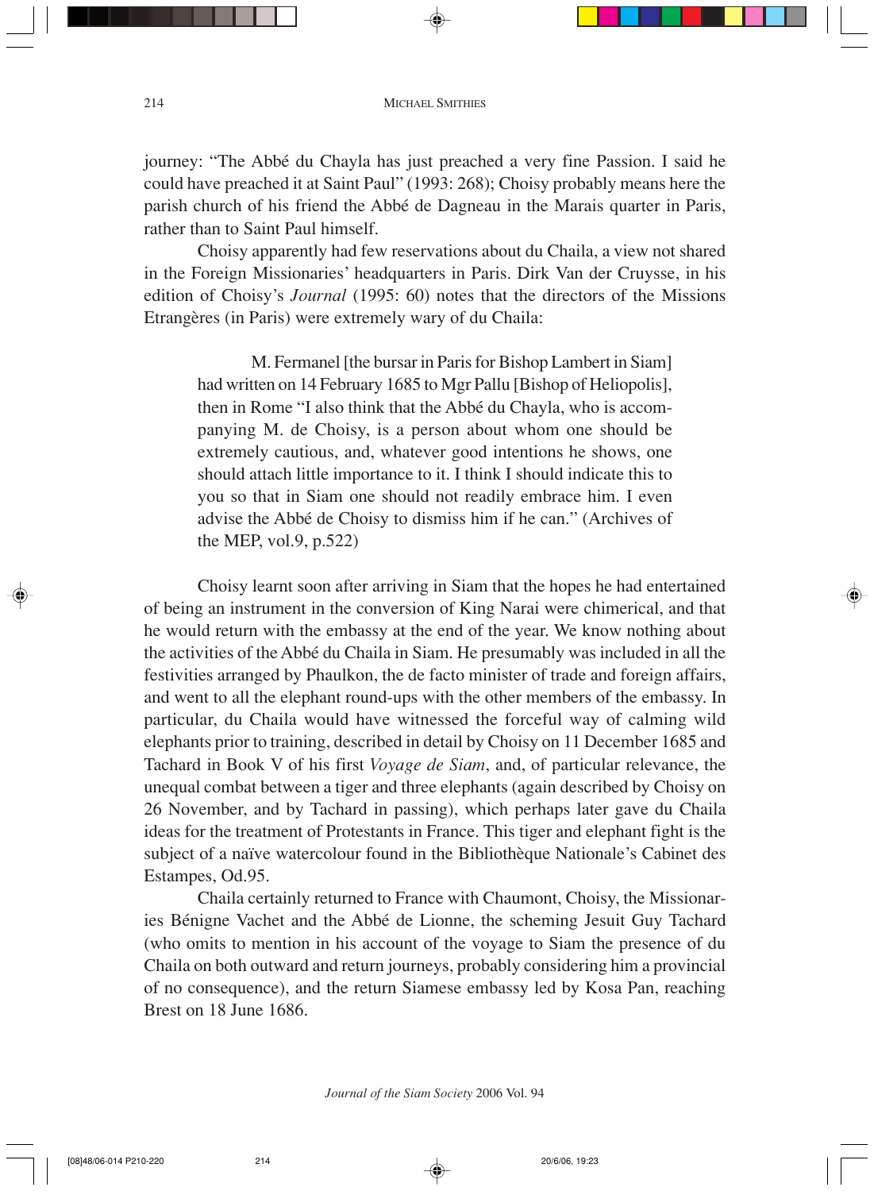journey: "The Abbé du Chayla has just preached a very fine Passion. I said he could have preached it at Saint Paul" (1993: 268); Choisy probably means here the parish church of his friend the Abbé de Dagneau in the Marais quarter in Paris, rather than to Saint Paul himself.

Choisy apparently had few reservations about du Chaila, a view not shared in the Foreign Missionaries' headquarters in Paris. Dirk Van der Cruysse, in his edition of Choisy's *Journal* (1995: 60) notes that the directors of the Missions Etrangères (in Paris) were extremely wary of du Chaila:

M. Fermanel [the bursar in Paris for Bishop Lambert in Siam] had written on 14 February 1685 to Mgr Pallu [Bishop of Heliopolis], then in Rome "I also think that the Abbé du Chayla, who is accompanying M. de Choisy, is a person about whom one should be extremely cautious, and, whatever good intentions he shows, one should attach little importance to it. I think I should indicate this to you so that in Siam one should not readily embrace him. I even advise the Abbé de Choisy to dismiss him if he can." (Archives of the MEP, vol.9, p.522)

Choisy learnt soon after arriving in Siam that the hopes he had entertained of being an instrument in the conversion of King Narai were chimerical, and that he would return with the embassy at the end of the year. We know nothing about the activities of the Abbé du Chaila in Siam. He presumably was included in all the festivities arranged by Phaulkon, the de facto minister of trade and foreign affairs, and went to all the elephant round-ups with the other members of the embassy. In particular, du Chaila would have witnessed the forceful way of calming wild elephants prior to training, described in detail by Choisy on 11 December 1685 and Tachard in Book V of his first *Voyage de Siam*, and, of particular relevance, the unequal combat between a tiger and three elephants (again described by Choisy on 26 November, and by Tachard in passing), which perhaps later gave du Chaila ideas for the treatment of Protestants in France. This tiger and elephant fight is the subject of a naïve watercolour found in the Bibliothèque Nationale's Cabinet des Estampes, Od.95.

Chaila certainly returned to France with Chaumont, Choisy, the Missionaries Bénigne Vachet and the Abbé de Lionne, the scheming Jesuit Guy Tachard (who omits to mention in his account of the voyage to Siam the presence of du Chaila on both outward and return journeys, probably considering him a provincial of no consequence), and the return Siamese embassy led by Kosa Pan, reaching Brest on 18 June 1686.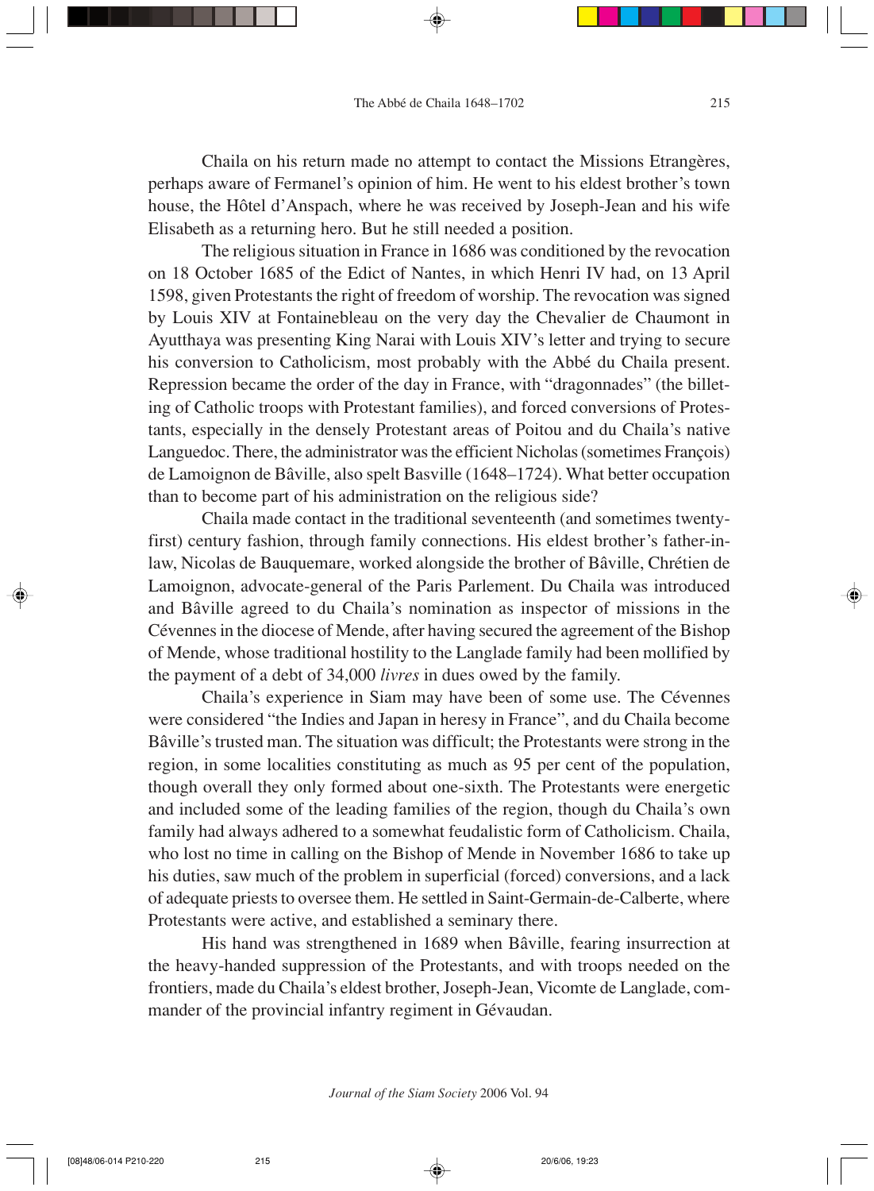Chaila on his return made no attempt to contact the Missions Etrangères, perhaps aware of Fermanel's opinion of him. He went to his eldest brother's town house, the Hôtel d'Anspach, where he was received by Joseph-Jean and his wife Elisabeth as a returning hero. But he still needed a position.

The religious situation in France in 1686 was conditioned by the revocation on 18 October 1685 of the Edict of Nantes, in which Henri IV had, on 13 April 1598, given Protestants the right of freedom of worship. The revocation was signed by Louis XIV at Fontainebleau on the very day the Chevalier de Chaumont in Ayutthaya was presenting King Narai with Louis XIV's letter and trying to secure his conversion to Catholicism, most probably with the Abbé du Chaila present. Repression became the order of the day in France, with "dragonnades" (the billeting of Catholic troops with Protestant families), and forced conversions of Protestants, especially in the densely Protestant areas of Poitou and du Chaila's native Languedoc. There, the administrator was the efficient Nicholas (sometimes François) de Lamoignon de Bâville, also spelt Basville (1648–1724). What better occupation than to become part of his administration on the religious side?

Chaila made contact in the traditional seventeenth (and sometimes twentyfirst) century fashion, through family connections. His eldest brother's father-inlaw, Nicolas de Bauquemare, worked alongside the brother of Bâville, Chrétien de Lamoignon, advocate-general of the Paris Parlement. Du Chaila was introduced and Bâville agreed to du Chaila's nomination as inspector of missions in the Cévennes in the diocese of Mende, after having secured the agreement of the Bishop of Mende, whose traditional hostility to the Langlade family had been mollified by the payment of a debt of 34,000 *livres* in dues owed by the family.

Chaila's experience in Siam may have been of some use. The Cévennes were considered "the Indies and Japan in heresy in France", and du Chaila become Bâville's trusted man. The situation was difficult; the Protestants were strong in the region, in some localities constituting as much as 95 per cent of the population, though overall they only formed about one-sixth. The Protestants were energetic and included some of the leading families of the region, though du Chaila's own family had always adhered to a somewhat feudalistic form of Catholicism. Chaila, who lost no time in calling on the Bishop of Mende in November 1686 to take up his duties, saw much of the problem in superficial (forced) conversions, and a lack of adequate priests to oversee them. He settled in Saint-Germain-de-Calberte, where Protestants were active, and established a seminary there.

His hand was strengthened in 1689 when Bâville, fearing insurrection at the heavy-handed suppression of the Protestants, and with troops needed on the frontiers, made du Chaila's eldest brother, Joseph-Jean, Vicomte de Langlade, commander of the provincial infantry regiment in Gévaudan.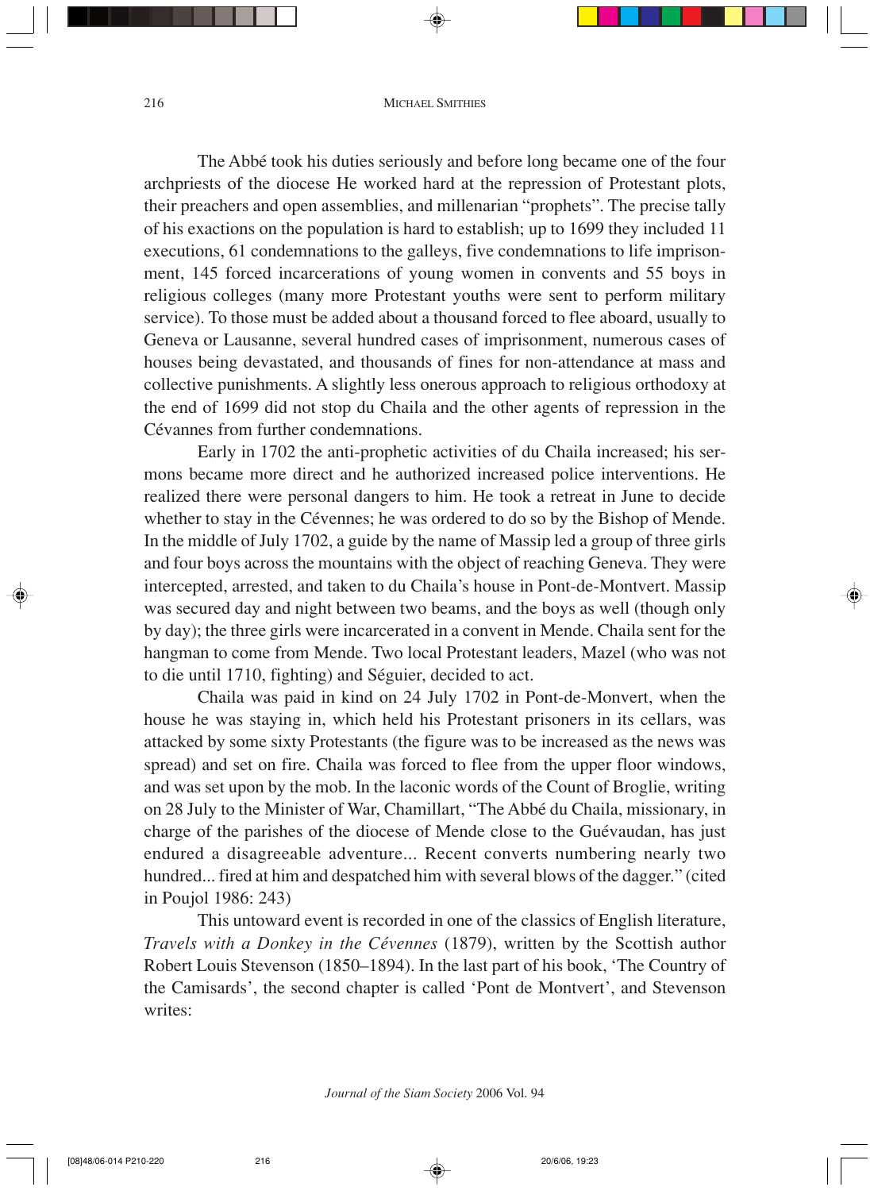#### 216 MICHAEL SMITHIES

The Abbé took his duties seriously and before long became one of the four archpriests of the diocese He worked hard at the repression of Protestant plots, their preachers and open assemblies, and millenarian "prophets". The precise tally of his exactions on the population is hard to establish; up to 1699 they included 11 executions, 61 condemnations to the galleys, five condemnations to life imprisonment, 145 forced incarcerations of young women in convents and 55 boys in religious colleges (many more Protestant youths were sent to perform military service). To those must be added about a thousand forced to flee aboard, usually to Geneva or Lausanne, several hundred cases of imprisonment, numerous cases of houses being devastated, and thousands of fines for non-attendance at mass and collective punishments. A slightly less onerous approach to religious orthodoxy at the end of 1699 did not stop du Chaila and the other agents of repression in the Cévannes from further condemnations.

Early in 1702 the anti-prophetic activities of du Chaila increased; his sermons became more direct and he authorized increased police interventions. He realized there were personal dangers to him. He took a retreat in June to decide whether to stay in the Cévennes; he was ordered to do so by the Bishop of Mende. In the middle of July 1702, a guide by the name of Massip led a group of three girls and four boys across the mountains with the object of reaching Geneva. They were intercepted, arrested, and taken to du Chaila's house in Pont-de-Montvert. Massip was secured day and night between two beams, and the boys as well (though only by day); the three girls were incarcerated in a convent in Mende. Chaila sent for the hangman to come from Mende. Two local Protestant leaders, Mazel (who was not to die until 1710, fighting) and Séguier, decided to act.

Chaila was paid in kind on 24 July 1702 in Pont-de-Monvert, when the house he was staying in, which held his Protestant prisoners in its cellars, was attacked by some sixty Protestants (the figure was to be increased as the news was spread) and set on fire. Chaila was forced to flee from the upper floor windows, and was set upon by the mob. In the laconic words of the Count of Broglie, writing on 28 July to the Minister of War, Chamillart, "The Abbé du Chaila, missionary, in charge of the parishes of the diocese of Mende close to the Guévaudan, has just endured a disagreeable adventure... Recent converts numbering nearly two hundred... fired at him and despatched him with several blows of the dagger." (cited in Poujol 1986: 243)

This untoward event is recorded in one of the classics of English literature, *Travels with a Donkey in the Cévennes* (1879), written by the Scottish author Robert Louis Stevenson (1850–1894). In the last part of his book, 'The Country of the Camisards', the second chapter is called 'Pont de Montvert', and Stevenson writes: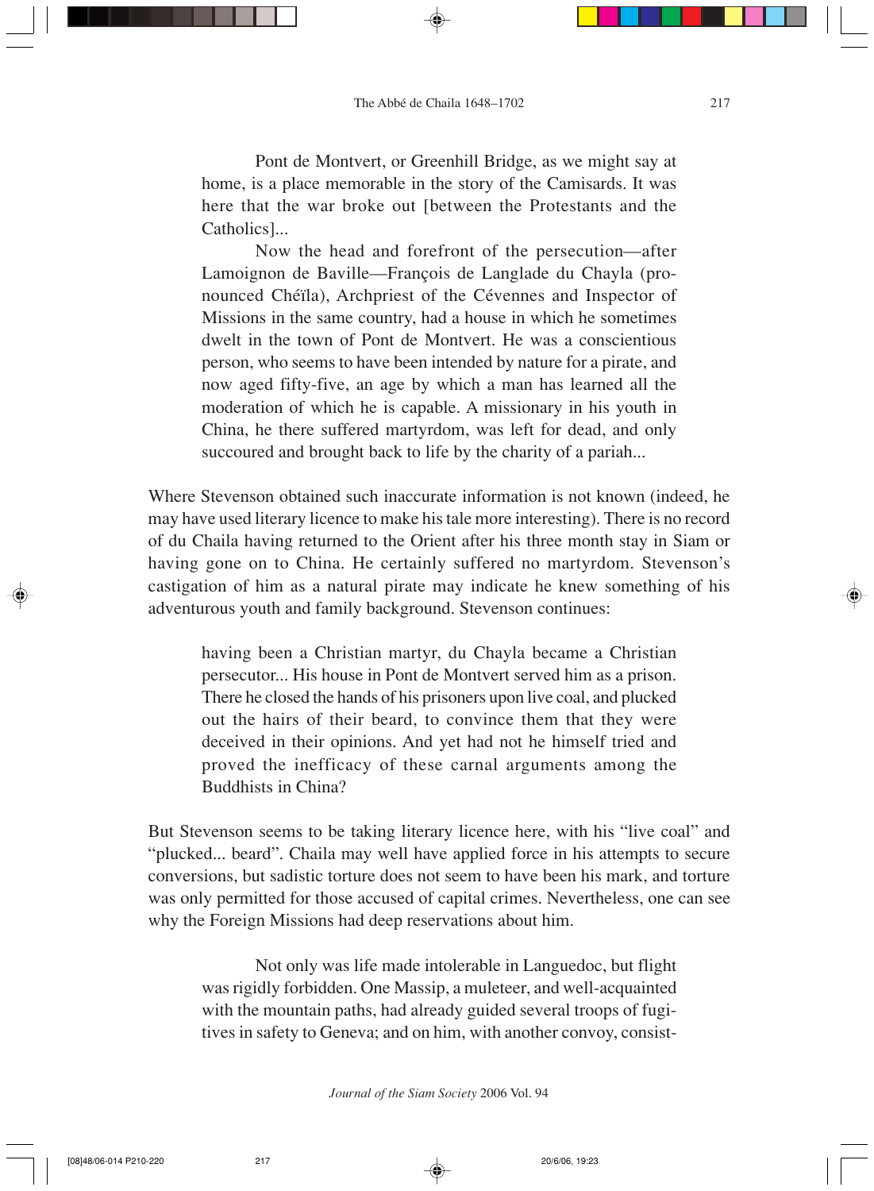Pont de Montvert, or Greenhill Bridge, as we might say at home, is a place memorable in the story of the Camisards. It was here that the war broke out [between the Protestants and the Catholics]...

Now the head and forefront of the persecution—after Lamoignon de Baville—François de Langlade du Chayla (pronounced Chéïla), Archpriest of the Cévennes and Inspector of Missions in the same country, had a house in which he sometimes dwelt in the town of Pont de Montvert. He was a conscientious person, who seems to have been intended by nature for a pirate, and now aged fifty-five, an age by which a man has learned all the moderation of which he is capable. A missionary in his youth in China, he there suffered martyrdom, was left for dead, and only succoured and brought back to life by the charity of a pariah...

Where Stevenson obtained such inaccurate information is not known (indeed, he may have used literary licence to make his tale more interesting). There is no record of du Chaila having returned to the Orient after his three month stay in Siam or having gone on to China. He certainly suffered no martyrdom. Stevenson's castigation of him as a natural pirate may indicate he knew something of his adventurous youth and family background. Stevenson continues:

having been a Christian martyr, du Chayla became a Christian persecutor... His house in Pont de Montvert served him as a prison. There he closed the hands of his prisoners upon live coal, and plucked out the hairs of their beard, to convince them that they were deceived in their opinions. And yet had not he himself tried and proved the inefficacy of these carnal arguments among the Buddhists in China?

But Stevenson seems to be taking literary licence here, with his "live coal" and "plucked... beard". Chaila may well have applied force in his attempts to secure conversions, but sadistic torture does not seem to have been his mark, and torture was only permitted for those accused of capital crimes. Nevertheless, one can see why the Foreign Missions had deep reservations about him.

Not only was life made intolerable in Languedoc, but flight was rigidly forbidden. One Massip, a muleteer, and well-acquainted with the mountain paths, had already guided several troops of fugitives in safety to Geneva; and on him, with another convoy, consist-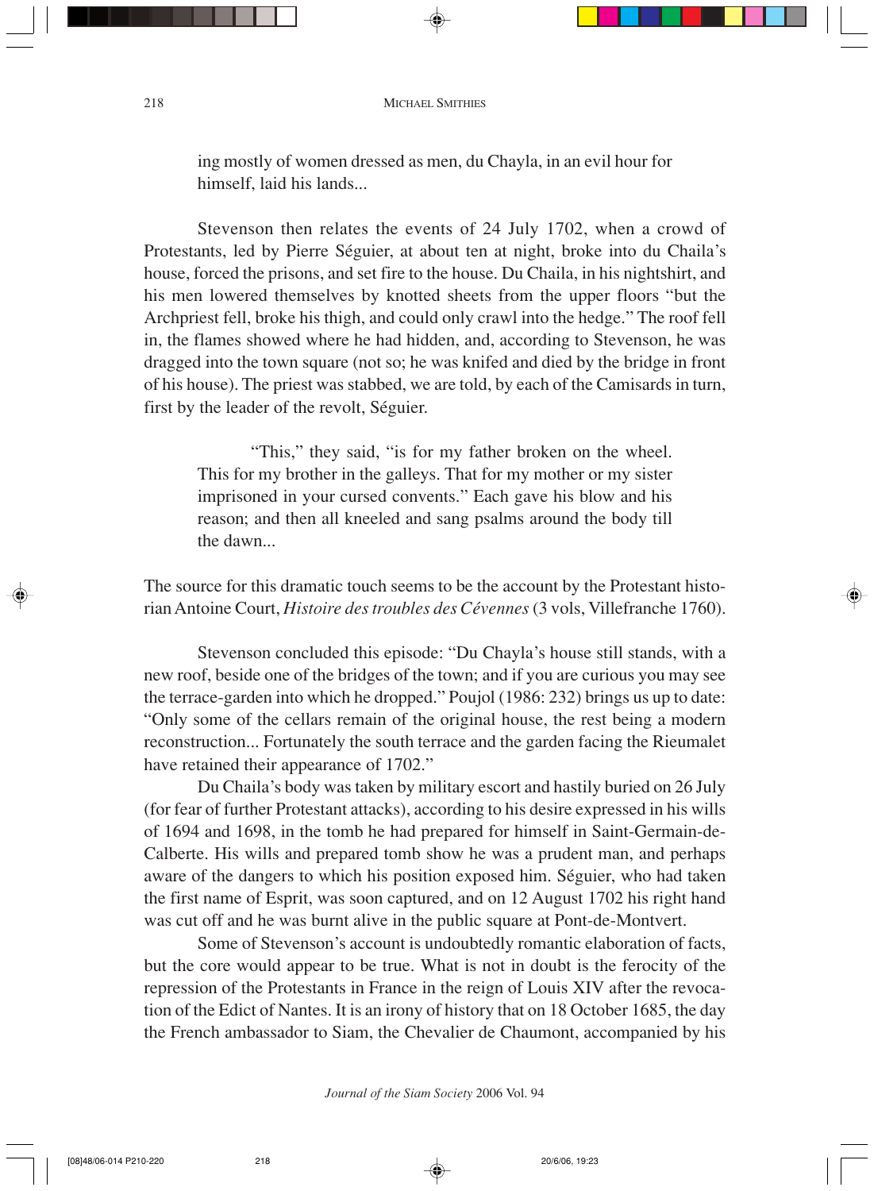ing mostly of women dressed as men, du Chayla, in an evil hour for himself, laid his lands...

Stevenson then relates the events of 24 July 1702, when a crowd of Protestants, led by Pierre Séguier, at about ten at night, broke into du Chaila's house, forced the prisons, and set fire to the house. Du Chaila, in his nightshirt, and his men lowered themselves by knotted sheets from the upper floors "but the Archpriest fell, broke his thigh, and could only crawl into the hedge." The roof fell in, the flames showed where he had hidden, and, according to Stevenson, he was dragged into the town square (not so; he was knifed and died by the bridge in front of his house). The priest was stabbed, we are told, by each of the Camisards in turn, first by the leader of the revolt, Séguier.

"This," they said, "is for my father broken on the wheel. This for my brother in the galleys. That for my mother or my sister imprisoned in your cursed convents." Each gave his blow and his reason; and then all kneeled and sang psalms around the body till the dawn...

The source for this dramatic touch seems to be the account by the Protestant historian Antoine Court, *Histoire des troubles des Cévennes* (3 vols, Villefranche 1760).

Stevenson concluded this episode: "Du Chayla's house still stands, with a new roof, beside one of the bridges of the town; and if you are curious you may see the terrace-garden into which he dropped." Poujol (1986: 232) brings us up to date: "Only some of the cellars remain of the original house, the rest being a modern reconstruction... Fortunately the south terrace and the garden facing the Rieumalet have retained their appearance of 1702."

Du Chaila's body was taken by military escort and hastily buried on 26 July (for fear of further Protestant attacks), according to his desire expressed in his wills of 1694 and 1698, in the tomb he had prepared for himself in Saint-Germain-de-Calberte. His wills and prepared tomb show he was a prudent man, and perhaps aware of the dangers to which his position exposed him. Séguier, who had taken the first name of Esprit, was soon captured, and on 12 August 1702 his right hand was cut off and he was burnt alive in the public square at Pont-de-Montvert.

Some of Stevenson's account is undoubtedly romantic elaboration of facts, but the core would appear to be true. What is not in doubt is the ferocity of the repression of the Protestants in France in the reign of Louis XIV after the revocation of the Edict of Nantes. It is an irony of history that on 18 October 1685, the day the French ambassador to Siam, the Chevalier de Chaumont, accompanied by his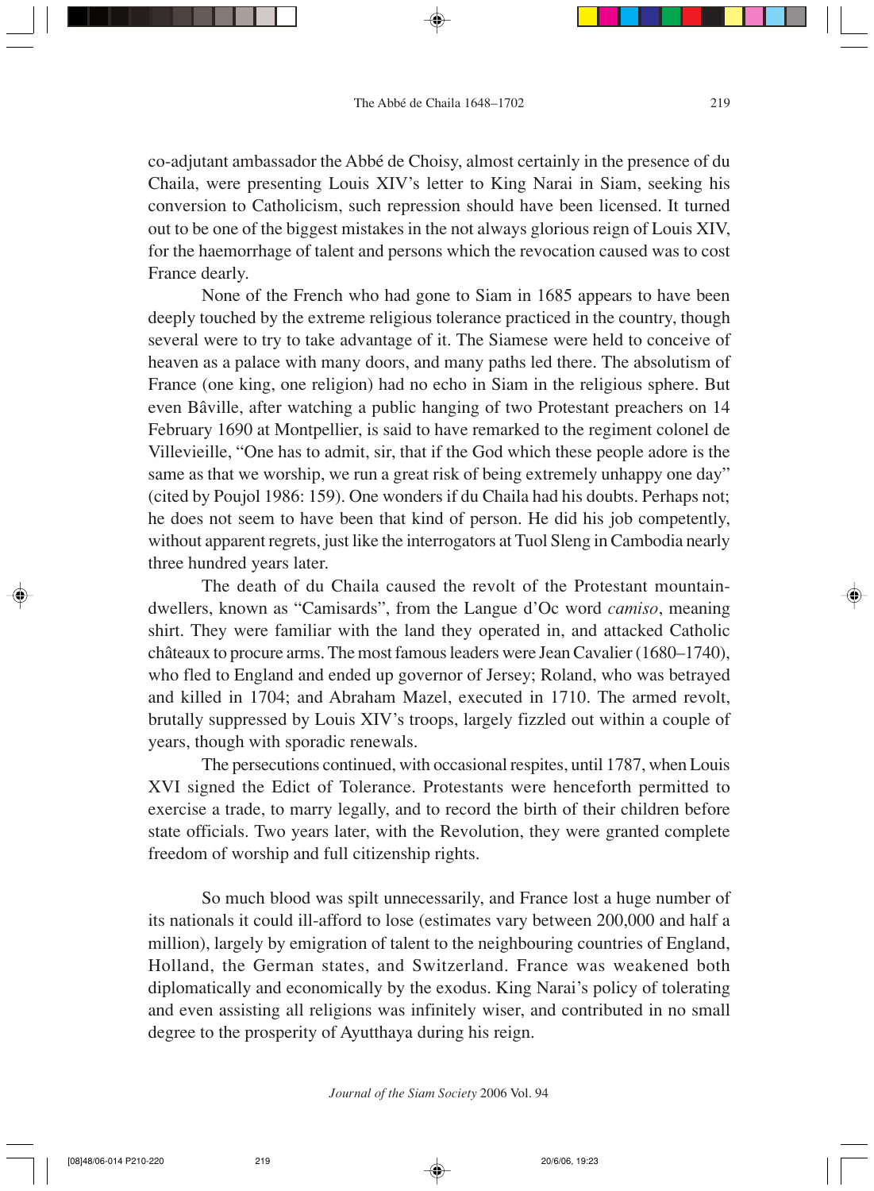co-adjutant ambassador the Abbé de Choisy, almost certainly in the presence of du Chaila, were presenting Louis XIV's letter to King Narai in Siam, seeking his conversion to Catholicism, such repression should have been licensed. It turned out to be one of the biggest mistakes in the not always glorious reign of Louis XIV, for the haemorrhage of talent and persons which the revocation caused was to cost France dearly.

None of the French who had gone to Siam in 1685 appears to have been deeply touched by the extreme religious tolerance practiced in the country, though several were to try to take advantage of it. The Siamese were held to conceive of heaven as a palace with many doors, and many paths led there. The absolutism of France (one king, one religion) had no echo in Siam in the religious sphere. But even Bâville, after watching a public hanging of two Protestant preachers on 14 February 1690 at Montpellier, is said to have remarked to the regiment colonel de Villevieille, "One has to admit, sir, that if the God which these people adore is the same as that we worship, we run a great risk of being extremely unhappy one day" (cited by Poujol 1986: 159). One wonders if du Chaila had his doubts. Perhaps not; he does not seem to have been that kind of person. He did his job competently, without apparent regrets, just like the interrogators at Tuol Sleng in Cambodia nearly three hundred years later.

The death of du Chaila caused the revolt of the Protestant mountaindwellers, known as "Camisards", from the Langue d'Oc word *camiso*, meaning shirt. They were familiar with the land they operated in, and attacked Catholic châteaux to procure arms. The most famous leaders were Jean Cavalier (1680–1740), who fled to England and ended up governor of Jersey; Roland, who was betrayed and killed in 1704; and Abraham Mazel, executed in 1710. The armed revolt, brutally suppressed by Louis XIV's troops, largely fizzled out within a couple of years, though with sporadic renewals.

The persecutions continued, with occasional respites, until 1787, when Louis XVI signed the Edict of Tolerance. Protestants were henceforth permitted to exercise a trade, to marry legally, and to record the birth of their children before state officials. Two years later, with the Revolution, they were granted complete freedom of worship and full citizenship rights.

So much blood was spilt unnecessarily, and France lost a huge number of its nationals it could ill-afford to lose (estimates vary between 200,000 and half a million), largely by emigration of talent to the neighbouring countries of England, Holland, the German states, and Switzerland. France was weakened both diplomatically and economically by the exodus. King Narai's policy of tolerating and even assisting all religions was infinitely wiser, and contributed in no small degree to the prosperity of Ayutthaya during his reign.